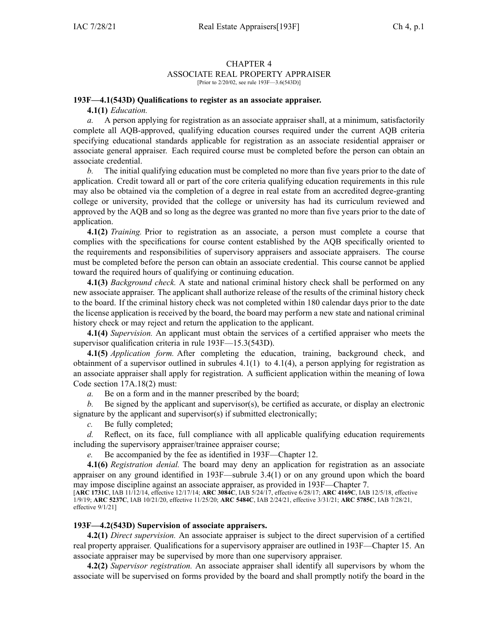#### CHAPTER 4 ASSOCIATE REAL PROPERTY APPRAISER [Prior to 2/20/02, see rule 193F-3.6(543D)]

#### **193F—4.1(543D) Qualifications to register as an associate appraiser.**

**4.1(1)** *Education.*

*a.* A person applying for registration as an associate appraiser shall, at <sup>a</sup> minimum, satisfactorily complete all AQB-approved, qualifying education courses required under the current AQB criteria specifying educational standards applicable for registration as an associate residential appraiser or associate general appraiser. Each required course must be completed before the person can obtain an associate credential.

*b.* The initial qualifying education must be completed no more than five years prior to the date of application. Credit toward all or par<sup>t</sup> of the core criteria qualifying education requirements in this rule may also be obtained via the completion of <sup>a</sup> degree in real estate from an accredited degree-granting college or university, provided that the college or university has had its curriculum reviewed and approved by the AQB and so long as the degree was granted no more than five years prior to the date of application.

**4.1(2)** *Training.* Prior to registration as an associate, <sup>a</sup> person must complete <sup>a</sup> course that complies with the specifications for course content established by the AQB specifically oriented to the requirements and responsibilities of supervisory appraisers and associate appraisers. The course must be completed before the person can obtain an associate credential. This course cannot be applied toward the required hours of qualifying or continuing education.

**4.1(3)** *Background check.* A state and national criminal history check shall be performed on any new associate appraiser. The applicant shall authorize release of the results of the criminal history check to the board. If the criminal history check was not completed within 180 calendar days prior to the date the license application is received by the board, the board may perform <sup>a</sup> new state and national criminal history check or may reject and return the application to the applicant.

**4.1(4)** *Supervision.* An applicant must obtain the services of <sup>a</sup> certified appraiser who meets the supervisor qualification criteria in rule [193F—15.3](https://www.legis.iowa.gov/docs/iac/rule/193F.15.3.pdf)(543D).

**4.1(5)** *Application form.* After completing the education, training, background check, and obtainment of a supervisor outlined in subrules  $4.1(1)$  to  $4.1(4)$ , a person applying for registration as an associate appraiser shall apply for registration. A sufficient application within the meaning of Iowa Code section [17A.18\(2\)](https://www.legis.iowa.gov/docs/ico/section/17A.18.pdf) must:

*a.* Be on <sup>a</sup> form and in the manner prescribed by the board;

*b.* Be signed by the applicant and supervisor(s), be certified as accurate, or display an electronic signature by the applicant and supervisor(s) if submitted electronically;

*c.* Be fully completed;

*d.* Reflect, on its face, full compliance with all applicable qualifying education requirements including the supervisory appraiser/trainee appraiser course;

Be accompanied by the fee as identified in 193F—Chapter 12.

**4.1(6)** *Registration denial.* The board may deny an application for registration as an associate appraiser on any ground identified in [193F—subrule](https://www.legis.iowa.gov/docs/iac/rule/193F.3.4.pdf) 3.4(1) or on any ground upon which the board may impose discipline against an associate appraiser, as provided in [193F—Chapter](https://www.legis.iowa.gov/docs/iac/chapter/193F.7.pdf) 7.

[**ARC [1731C](https://www.legis.iowa.gov/docs/aco/arc/1731C.pdf)**, IAB 11/12/14, effective 12/17/14; **ARC [3084C](https://www.legis.iowa.gov/docs/aco/arc/3084C.pdf)**, IAB 5/24/17, effective 6/28/17; **ARC [4169C](https://www.legis.iowa.gov/docs/aco/arc/4169C.pdf)**, IAB 12/5/18, effective 1/9/19; **ARC [5237C](https://www.legis.iowa.gov/docs/aco/arc/5237C.pdf)**, IAB 10/21/20, effective 11/25/20; **ARC [5484C](https://www.legis.iowa.gov/docs/aco/arc/5484C.pdf)**, IAB 2/24/21, effective 3/31/21; **ARC [5785C](https://www.legis.iowa.gov/docs/aco/arc/5785C.pdf)**, IAB 7/28/21, effective 9/1/21]

## **193F—4.2(543D) Supervision of associate appraisers.**

**4.2(1)** *Direct supervision.* An associate appraiser is subject to the direct supervision of <sup>a</sup> certified real property appraiser. Qualifications for <sup>a</sup> supervisory appraiser are outlined in [193F—Chapter](https://www.legis.iowa.gov/docs/iac/chapter/193F.15.pdf) 15. An associate appraiser may be supervised by more than one supervisory appraiser.

**4.2(2)** *Supervisor registration.* An associate appraiser shall identify all supervisors by whom the associate will be supervised on forms provided by the board and shall promptly notify the board in the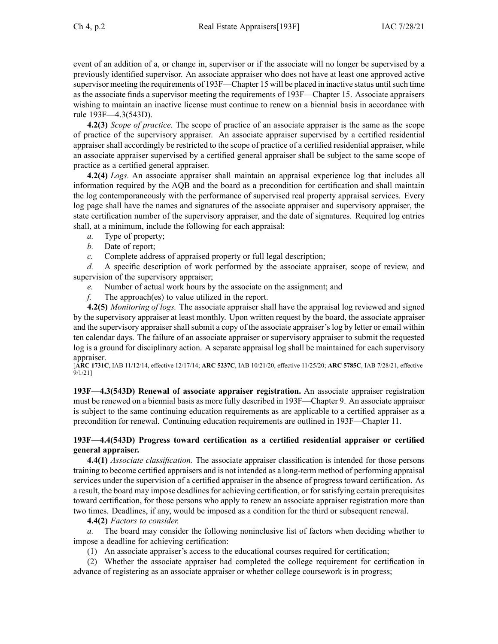event of an addition of a, or change in, supervisor or if the associate will no longer be supervised by <sup>a</sup> previously identified supervisor. An associate appraiser who does not have at least one approved active supervisor meeting the requirements of [193F—Chapter](https://www.legis.iowa.gov/docs/iac/chapter/193F.15.pdf) 15 will be placed in inactive status until such time as the associate finds <sup>a</sup> supervisor meeting the requirements of [193F—Chapter](https://www.legis.iowa.gov/docs/iac/chapter/193F.15.pdf) 15. Associate appraisers wishing to maintain an inactive license must continue to renew on <sup>a</sup> biennial basis in accordance with rule [193F—4.3](https://www.legis.iowa.gov/docs/iac/rule/193F.4.3.pdf)(543D).

**4.2(3)** *Scope of practice.* The scope of practice of an associate appraiser is the same as the scope of practice of the supervisory appraiser. An associate appraiser supervised by <sup>a</sup> certified residential appraiser shall accordingly be restricted to the scope of practice of <sup>a</sup> certified residential appraiser, while an associate appraiser supervised by <sup>a</sup> certified general appraiser shall be subject to the same scope of practice as <sup>a</sup> certified general appraiser.

**4.2(4)** *Logs.* An associate appraiser shall maintain an appraisal experience log that includes all information required by the AQB and the board as <sup>a</sup> precondition for certification and shall maintain the log contemporaneously with the performance of supervised real property appraisal services. Every log page shall have the names and signatures of the associate appraiser and supervisory appraiser, the state certification number of the supervisory appraiser, and the date of signatures. Required log entries shall, at <sup>a</sup> minimum, include the following for each appraisal:

- *a.* Type of property;
- *b.* Date of report;
- *c.* Complete address of appraised property or full legal description;

*d.* A specific description of work performed by the associate appraiser, scope of review, and supervision of the supervisory appraiser;

- *e.* Number of actual work hours by the associate on the assignment; and
- *f.* The approach(es) to value utilized in the report.

**4.2(5)** *Monitoring of logs.* The associate appraiser shall have the appraisal log reviewed and signed by the supervisory appraiser at least monthly. Upon written reques<sup>t</sup> by the board, the associate appraiser and the supervisory appraiser shall submit <sup>a</sup> copy of the associate appraiser's log by letter or email within ten calendar days. The failure of an associate appraiser or supervisory appraiser to submit the requested log is <sup>a</sup> ground for disciplinary action. A separate appraisal log shall be maintained for each supervisory appraiser.

[**ARC [1731C](https://www.legis.iowa.gov/docs/aco/arc/1731C.pdf)**, IAB 11/12/14, effective 12/17/14; **ARC [5237C](https://www.legis.iowa.gov/docs/aco/arc/5237C.pdf)**, IAB 10/21/20, effective 11/25/20; **ARC [5785C](https://www.legis.iowa.gov/docs/aco/arc/5785C.pdf)**, IAB 7/28/21, effective 9/1/21]

**193F—4.3(543D) Renewal of associate appraiser registration.** An associate appraiser registration must be renewed on <sup>a</sup> biennial basis as more fully described in [193F—Chapter](https://www.legis.iowa.gov/docs/iac/chapter/193F.9.pdf) 9. An associate appraiser is subject to the same continuing education requirements as are applicable to <sup>a</sup> certified appraiser as <sup>a</sup> precondition for renewal. Continuing education requirements are outlined in [193F—Chapter](https://www.legis.iowa.gov/docs/iac/chapter/193F.11.pdf) 11.

# **193F—4.4(543D) Progress toward certification as <sup>a</sup> certified residential appraiser or certified general appraiser.**

**4.4(1)** *Associate classification.* The associate appraiser classification is intended for those persons training to become certified appraisers and is not intended as <sup>a</sup> long-term method of performing appraisal services under the supervision of <sup>a</sup> certified appraiser in the absence of progress toward certification. As a result, the board may impose deadlines for achieving certification, or for satisfying certain prerequisites toward certification, for those persons who apply to renew an associate appraiser registration more than two times. Deadlines, if any, would be imposed as <sup>a</sup> condition for the third or subsequent renewal.

**4.4(2)** *Factors to consider.*

*a.* The board may consider the following noninclusive list of factors when deciding whether to impose <sup>a</sup> deadline for achieving certification:

(1) An associate appraiser's access to the educational courses required for certification;

(2) Whether the associate appraiser had completed the college requirement for certification in advance of registering as an associate appraiser or whether college coursework is in progress;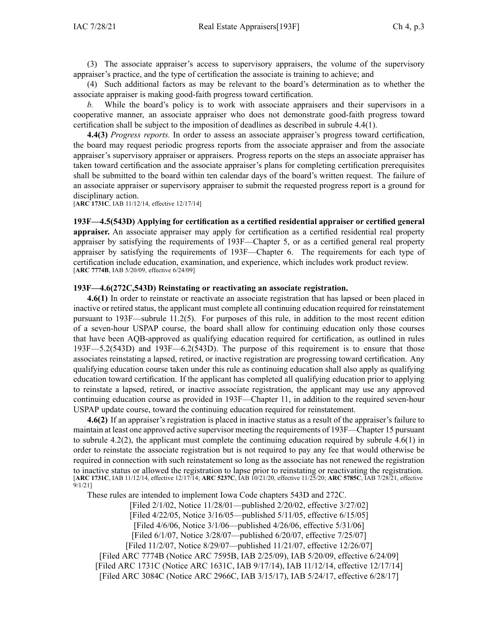(3) The associate appraiser's access to supervisory appraisers, the volume of the supervisory appraiser's practice, and the type of certification the associate is training to achieve; and

(4) Such additional factors as may be relevant to the board's determination as to whether the associate appraiser is making good-faith progress toward certification.

*b.* While the board's policy is to work with associate appraisers and their supervisors in <sup>a</sup> cooperative manner, an associate appraiser who does not demonstrate good-faith progress toward certification shall be subject to the imposition of deadlines as described in subrule [4.4\(1\)](https://www.legis.iowa.gov/docs/iac/rule/193F.4.4.pdf).

**4.4(3)** *Progress reports.* In order to assess an associate appraiser's progress toward certification, the board may reques<sup>t</sup> periodic progress reports from the associate appraiser and from the associate appraiser's supervisory appraiser or appraisers. Progress reports on the steps an associate appraiser has taken toward certification and the associate appraiser's plans for completing certification prerequisites shall be submitted to the board within ten calendar days of the board's written request. The failure of an associate appraiser or supervisory appraiser to submit the requested progress repor<sup>t</sup> is <sup>a</sup> ground for disciplinary action.

[**ARC [1731C](https://www.legis.iowa.gov/docs/aco/arc/1731C.pdf)**, IAB 11/12/14, effective 12/17/14]

**193F—4.5(543D) Applying for certification as <sup>a</sup> certified residential appraiser or certified general appraiser.** An associate appraiser may apply for certification as <sup>a</sup> certified residential real property appraiser by satisfying the requirements of 193F—Chapter [5](https://www.legis.iowa.gov/docs/iac/chapter/193F.5.pdf), or as <sup>a</sup> certified general real property appraiser by satisfying the requirements of 193F—Chapter [6](https://www.legis.iowa.gov/docs/iac/chapter/193F.6.pdf). The requirements for each type of certification include education, examination, and experience, which includes work product review. [**ARC [7774B](https://www.legis.iowa.gov/docs/aco/arc/7774B.pdf)**, IAB 5/20/09, effective 6/24/09]

## **193F—4.6(272C,543D) Reinstating or reactivating an associate registration.**

**4.6(1)** In order to reinstate or reactivate an associate registration that has lapsed or been placed in inactive or retired status, the applicant must complete all continuing education required for reinstatement pursuan<sup>t</sup> to [193F—subrule](https://www.legis.iowa.gov/docs/iac/rule/193F.11.2.pdf) 11.2(5). For purposes of this rule, in addition to the most recent edition of <sup>a</sup> seven-hour USPAP course, the board shall allow for continuing education only those courses that have been AQB-approved as qualifying education required for certification, as outlined in rules [193F—5.2](https://www.legis.iowa.gov/docs/iac/rule/193F.5.2.pdf)(543D) and [193F—6.2](https://www.legis.iowa.gov/docs/iac/rule/193F.6.2.pdf)(543D). The purpose of this requirement is to ensure that those associates reinstating <sup>a</sup> lapsed, retired, or inactive registration are progressing toward certification. Any qualifying education course taken under this rule as continuing education shall also apply as qualifying education toward certification. If the applicant has completed all qualifying education prior to applying to reinstate <sup>a</sup> lapsed, retired, or inactive associate registration, the applicant may use any approved continuing education course as provided in [193F—Chapter](https://www.legis.iowa.gov/docs/iac/chapter/193F.11.pdf) 11, in addition to the required seven-hour USPAP update course, toward the continuing education required for reinstatement.

**4.6(2)** If an appraiser's registration is placed in inactive status as <sup>a</sup> result of the appraiser's failure to maintain at least one approved active supervisor meeting the requirements of [193F—Chapter](https://www.legis.iowa.gov/docs/iac/chapter/193F.15.pdf) 15 pursuan<sup>t</sup> to subrule 4.2(2), the applicant must complete the continuing education required by subrule 4.6(1) in order to reinstate the associate registration but is not required to pay any fee that would otherwise be required in connection with such reinstatement so long as the associate has not renewed the registration to inactive status or allowed the registration to lapse prior to reinstating or reactivating the registration. [**ARC [1731C](https://www.legis.iowa.gov/docs/aco/arc/1731C.pdf)**, IAB 11/12/14, effective 12/17/14; **ARC [5237C](https://www.legis.iowa.gov/docs/aco/arc/5237C.pdf)**, IAB 10/21/20, effective 11/25/20; **ARC [5785C](https://www.legis.iowa.gov/docs/aco/arc/5785C.pdf)**, IAB 7/28/21, effective 9/1/21]

These rules are intended to implement Iowa Code chapters [543D](https://www.legis.iowa.gov/docs/ico/chapter/543D.pdf) and [272C](https://www.legis.iowa.gov/docs/ico/chapter/272C.pdf).

[Filed 2/1/02, Notice 11/28/01—published 2/20/02, effective 3/27/02] [Filed 4/22/05, Notice 3/16/05—published 5/11/05, effective 6/15/05] [Filed 4/6/06, Notice 3/1/06—published 4/26/06, effective 5/31/06] [Filed 6/1/07, Notice 3/28/07—published 6/20/07, effective 7/25/07] [Filed 11/2/07, Notice 8/29/07—published 11/21/07, effective 12/26/07] [Filed ARC [7774B](https://www.legis.iowa.gov/docs/aco/arc/7774B.pdf) ([Notice](https://www.legis.iowa.gov/docs/aco/arc/7595B.pdf) ARC 7595B, IAB 2/25/09), IAB 5/20/09, effective 6/24/09] [[Filed](https://www.legis.iowa.gov/docs/aco/arc/1731C.pdf) ARC 1731C ([Notice](https://www.legis.iowa.gov/docs/aco/arc/1631C.pdf) ARC 1631C, IAB 9/17/14), IAB 11/12/14, effective 12/17/14] [Filed ARC [3084C](https://www.legis.iowa.gov/docs/aco/arc/3084C.pdf) ([Notice](https://www.legis.iowa.gov/docs/aco/arc/2966C.pdf) ARC 2966C, IAB 3/15/17), IAB 5/24/17, effective 6/28/17]